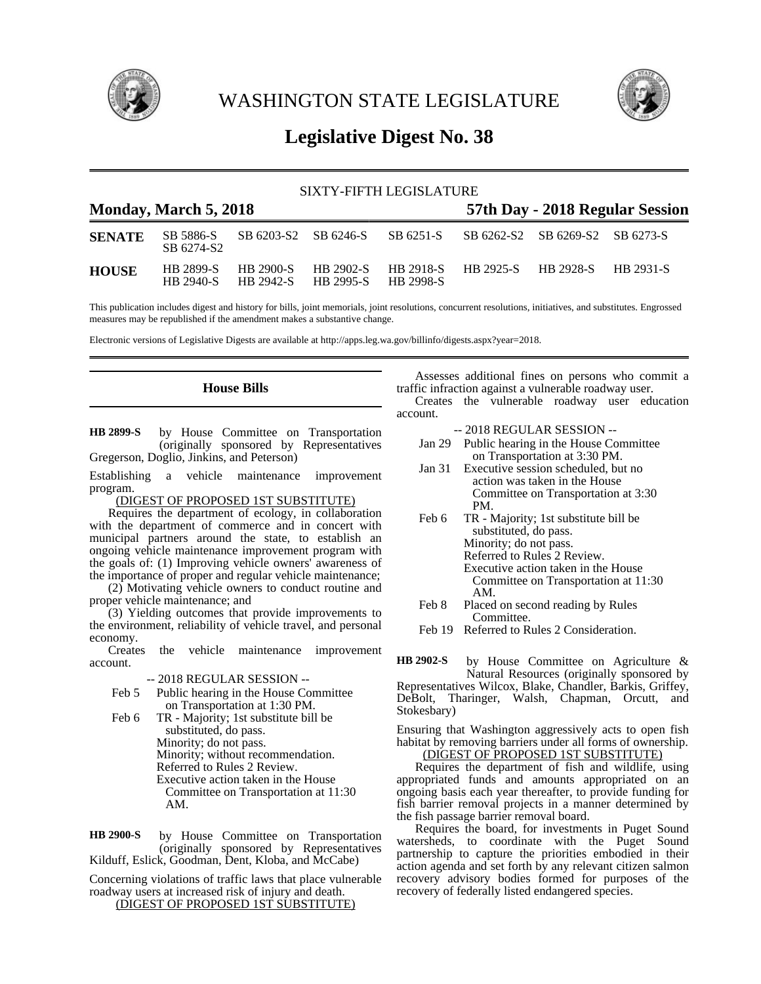

WASHINGTON STATE LEGISLATURE



# **Legislative Digest No. 38**

## SIXTY-FIFTH LEGISLATURE

## **Monday, March 5, 2018 57th Day - 2018 Regular Session**

| <b>SENATE</b> | SB 5886-S<br>SB 6274-S2       |           | SB 6203-S2 SB 6246-S             |                  | SB 6251-S SB 6262-S2 SB 6269-S2 SB 6273-S |                  |  |
|---------------|-------------------------------|-----------|----------------------------------|------------------|-------------------------------------------|------------------|--|
| <b>HOUSE</b>  | <b>HR 2899-S</b><br>HB 2940-S | HB 2900-S | HB 2902-S<br>HB 2942-S HB 2995-S | <b>HR 2998-S</b> | HB 2918-S HB 2925-S HB 2928-S             | <b>HR 2931-S</b> |  |

This publication includes digest and history for bills, joint memorials, joint resolutions, concurrent resolutions, initiatives, and substitutes. Engrossed measures may be republished if the amendment makes a substantive change.

Electronic versions of Legislative Digests are available at http://apps.leg.wa.gov/billinfo/digests.aspx?year=2018.

## **House Bills**

by House Committee on Transportation (originally sponsored by Representatives Gregerson, Doglio, Jinkins, and Peterson) **HB 2899-S**

Establishing a vehicle maintenance improvement program.

(DIGEST OF PROPOSED 1ST SUBSTITUTE)

Requires the department of ecology, in collaboration with the department of commerce and in concert with municipal partners around the state, to establish an ongoing vehicle maintenance improvement program with the goals of: (1) Improving vehicle owners' awareness of the importance of proper and regular vehicle maintenance;

(2) Motivating vehicle owners to conduct routine and proper vehicle maintenance; and

(3) Yielding outcomes that provide improvements to the environment, reliability of vehicle travel, and personal economy.

the vehicle maintenance improvement account.

-- 2018 REGULAR SESSION --

- Feb 5 Public hearing in the House Committee on Transportation at 1:30 PM.
- Feb 6 TR Majority; 1st substitute bill be substituted, do pass. Minority; do not pass. Minority; without recommendation. Referred to Rules 2 Review. Executive action taken in the House Committee on Transportation at 11:30 AM.

by House Committee on Transportation (originally sponsored by Representatives Kilduff, Eslick, Goodman, Dent, Kloba, and McCabe) **HB 2900-S**

Concerning violations of traffic laws that place vulnerable roadway users at increased risk of injury and death. (DIGEST OF PROPOSED 1ST SUBSTITUTE)

Assesses additional fines on persons who commit a traffic infraction against a vulnerable roadway user.

Creates the vulnerable roadway user education account.

- -- 2018 REGULAR SESSION --
- Jan 29 Public hearing in the House Committee on Transportation at 3:30 PM.
- Jan 31 Executive session scheduled, but no action was taken in the House Committee on Transportation at 3:30 PM.
- Feb 6 TR Majority; 1st substitute bill be substituted, do pass. Minority; do not pass. Referred to Rules 2 Review. Executive action taken in the House Committee on Transportation at 11:30 AM.
- Feb 8 Placed on second reading by Rules Committee.
- Feb 19 Referred to Rules 2 Consideration.

by House Committee on Agriculture & Natural Resources (originally sponsored by **HB 2902-S**

Representatives Wilcox, Blake, Chandler, Barkis, Griffey, DeBolt, Tharinger, Walsh, Chapman, Orcutt, and Stokesbary)

Ensuring that Washington aggressively acts to open fish habitat by removing barriers under all forms of ownership.

(DIGEST OF PROPOSED 1ST SUBSTITUTE)

Requires the department of fish and wildlife, using appropriated funds and amounts appropriated on an ongoing basis each year thereafter, to provide funding for fish barrier removal projects in a manner determined by the fish passage barrier removal board.

Requires the board, for investments in Puget Sound watersheds, to coordinate with the Puget Sound partnership to capture the priorities embodied in their action agenda and set forth by any relevant citizen salmon recovery advisory bodies formed for purposes of the recovery of federally listed endangered species.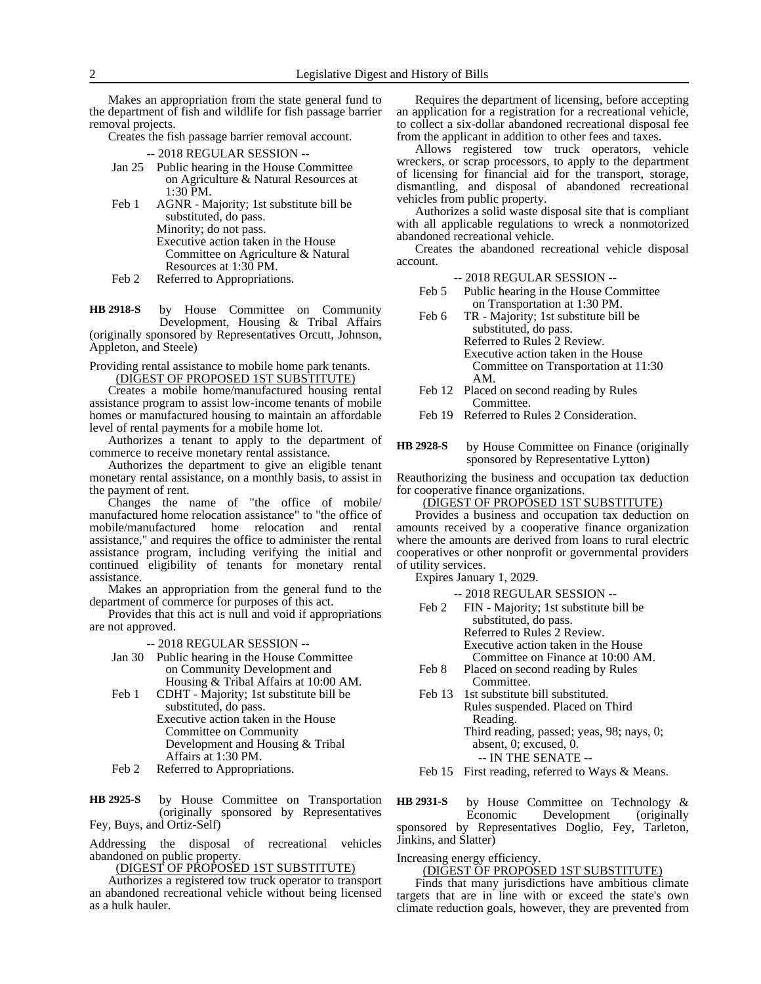Makes an appropriation from the state general fund to the department of fish and wildlife for fish passage barrier removal projects.

Creates the fish passage barrier removal account.

- -- 2018 REGULAR SESSION --
- Jan 25 Public hearing in the House Committee on Agriculture & Natural Resources at 1:30 PM.
- Feb 1 AGNR Majority; 1st substitute bill be substituted, do pass. Minority; do not pass. Executive action taken in the House Committee on Agriculture & Natural Resources at 1:30 PM.
- Feb 2 Referred to Appropriations.

by House Committee on Community Development, Housing & Tribal Affairs (originally sponsored by Representatives Orcutt, Johnson, Appleton, and Steele) **HB 2918-S**

Providing rental assistance to mobile home park tenants. (DIGEST OF PROPOSED 1ST SUBSTITUTE)

Creates a mobile home/manufactured housing rental assistance program to assist low-income tenants of mobile homes or manufactured housing to maintain an affordable level of rental payments for a mobile home lot.

Authorizes a tenant to apply to the department of commerce to receive monetary rental assistance.

Authorizes the department to give an eligible tenant monetary rental assistance, on a monthly basis, to assist in the payment of rent.

Changes the name of "the office of mobile/ manufactured home relocation assistance" to "the office of mobile/manufactured home relocation and rental assistance," and requires the office to administer the rental assistance program, including verifying the initial and continued eligibility of tenants for monetary rental assistance.

Makes an appropriation from the general fund to the department of commerce for purposes of this act.

Provides that this act is null and void if appropriations are not approved.

-- 2018 REGULAR SESSION --

- Jan 30 Public hearing in the House Committee on Community Development and Housing & Tribal Affairs at 10:00 AM.
- Feb 1 CDHT Majority; 1st substitute bill be substituted, do pass. Executive action taken in the House Committee on Community Development and Housing & Tribal Affairs at 1:30 PM.
- Feb 2 Referred to Appropriations.

by House Committee on Transportation (originally sponsored by Representatives Fey, Buys, and Ortiz-Self) **HB 2925-S**

Addressing the disposal of recreational vehicles abandoned on public property.

(DIGEST OF PROPOSED 1ST SUBSTITUTE)

Authorizes a registered tow truck operator to transport an abandoned recreational vehicle without being licensed as a hulk hauler.

Requires the department of licensing, before accepting an application for a registration for a recreational vehicle, to collect a six-dollar abandoned recreational disposal fee from the applicant in addition to other fees and taxes.

Allows registered tow truck operators, vehicle wreckers, or scrap processors, to apply to the department of licensing for financial aid for the transport, storage, dismantling, and disposal of abandoned recreational vehicles from public property.

Authorizes a solid waste disposal site that is compliant with all applicable regulations to wreck a nonmotorized abandoned recreational vehicle.

Creates the abandoned recreational vehicle disposal account.

- -- 2018 REGULAR SESSION --
- Feb 5 Public hearing in the House Committee on Transportation at 1:30 PM.
- Feb 6 TR Majority; 1st substitute bill be substituted, do pass. Referred to Rules 2 Review. Executive action taken in the House Committee on Transportation at 11:30 AM.
- Feb 12 Placed on second reading by Rules Committee.

Feb 19 Referred to Rules 2 Consideration.

by House Committee on Finance (originally sponsored by Representative Lytton) **HB 2928-S**

Reauthorizing the business and occupation tax deduction for cooperative finance organizations.

(DIGEST OF PROPOSED 1ST SUBSTITUTE)

Provides a business and occupation tax deduction on amounts received by a cooperative finance organization where the amounts are derived from loans to rural electric cooperatives or other nonprofit or governmental providers of utility services.

Expires January 1, 2029.

-- 2018 REGULAR SESSION --

- Feb 2 FIN Majority; 1st substitute bill be substituted, do pass. Referred to Rules 2 Review. Executive action taken in the House Committee on Finance at 10:00 AM.
- Feb 8 Placed on second reading by Rules Committee.
- Feb 13 1st substitute bill substituted. Rules suspended. Placed on Third Reading. Third reading, passed; yeas, 98; nays, 0; absent, 0; excused, 0. -- IN THE SENATE --
- Feb 15 First reading, referred to Ways & Means.

by House Committee on Technology & Economic Development (originally sponsored by Representatives Doglio, Fey, Tarleton, Jinkins, and Slatter) **HB 2931-S**

#### Increasing energy efficiency.

(DIGEST OF PROPOSED 1ST SUBSTITUTE)

Finds that many jurisdictions have ambitious climate targets that are in line with or exceed the state's own climate reduction goals, however, they are prevented from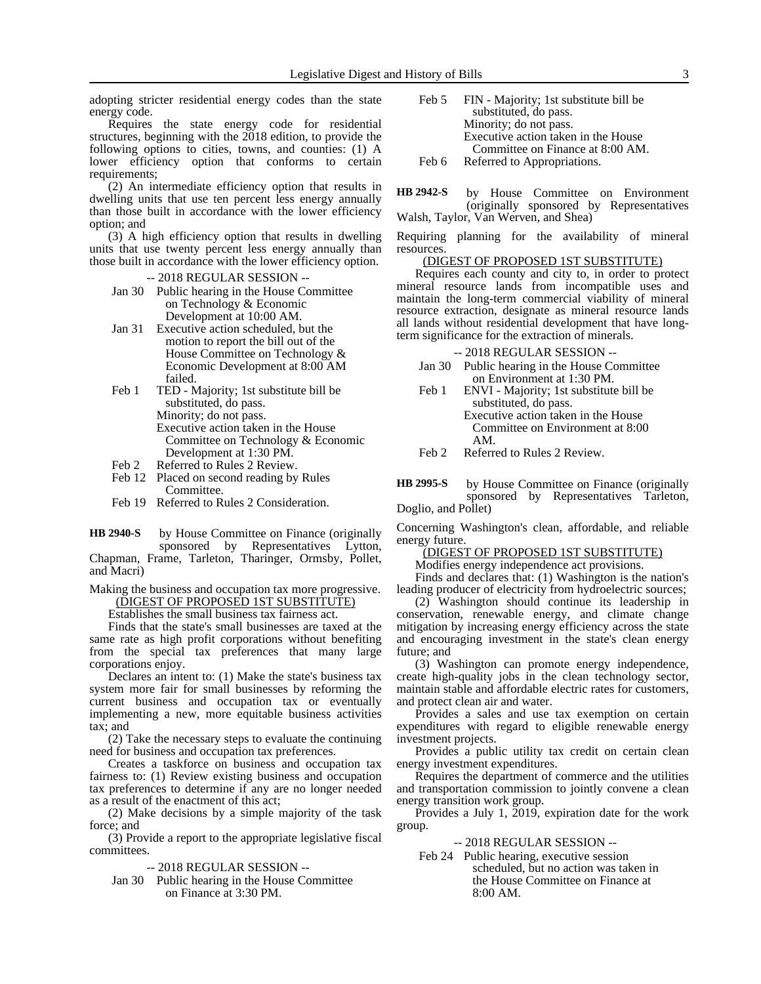adopting stricter residential energy codes than the state energy code.

Requires the state energy code for residential structures, beginning with the 2018 edition, to provide the following options to cities, towns, and counties: (1) A lower efficiency option that conforms to certain requirements;

(2) An intermediate efficiency option that results in dwelling units that use ten percent less energy annually than those built in accordance with the lower efficiency option; and

(3) A high efficiency option that results in dwelling units that use twenty percent less energy annually than those built in accordance with the lower efficiency option.

#### -- 2018 REGULAR SESSION --

- Jan 30 Public hearing in the House Committee on Technology & Economic Development at 10:00 AM.
- Jan 31 Executive action scheduled, but the motion to report the bill out of the House Committee on Technology & Economic Development at 8:00 AM failed.
- Feb 1 TED Majority; 1st substitute bill be substituted, do pass. Minority; do not pass. Executive action taken in the House Committee on Technology & Economic Development at 1:30 PM. Feb 2 Referred to Rules 2 Review.
- 
- Feb 12 Placed on second reading by Rules **Committee.**
- Feb 19 Referred to Rules 2 Consideration.
- by House Committee on Finance (originally sponsored by Representatives Lytton, **HB 2940-S**

Chapman, Frame, Tarleton, Tharinger, Ormsby, Pollet, and Macri)

Making the business and occupation tax more progressive. (DIGEST OF PROPOSED 1ST SUBSTITUTE)

Establishes the small business tax fairness act.

Finds that the state's small businesses are taxed at the same rate as high profit corporations without benefiting from the special tax preferences that many large corporations enjoy.

Declares an intent to: (1) Make the state's business tax system more fair for small businesses by reforming the current business and occupation tax or eventually implementing a new, more equitable business activities tax; and

(2) Take the necessary steps to evaluate the continuing need for business and occupation tax preferences.

Creates a taskforce on business and occupation tax fairness to: (1) Review existing business and occupation tax preferences to determine if any are no longer needed as a result of the enactment of this act;

(2) Make decisions by a simple majority of the task force; and

(3) Provide a report to the appropriate legislative fiscal committees.

- -- 2018 REGULAR SESSION --
- Jan 30 Public hearing in the House Committee on Finance at 3:30 PM.

Feb 5 FIN - Majority; 1st substitute bill be substituted, do pass. Minority; do not pass. Executive action taken in the House Committee on Finance at 8:00 AM. Feb 6 Referred to Appropriations.

by House Committee on Environment (originally sponsored by Representatives Walsh, Taylor, Van Werven, and Shea) **HB 2942-S**

Requiring planning for the availability of mineral resources.

## (DIGEST OF PROPOSED 1ST SUBSTITUTE)

Requires each county and city to, in order to protect mineral resource lands from incompatible uses and maintain the long-term commercial viability of mineral resource extraction, designate as mineral resource lands all lands without residential development that have longterm significance for the extraction of minerals.

-- 2018 REGULAR SESSION --

- Jan 30 Public hearing in the House Committee on Environment at 1:30 PM.
- Feb 1 ENVI Majority; 1st substitute bill be substituted, do pass. Executive action taken in the House Committee on Environment at 8:00 AM.
- Feb 2 Referred to Rules 2 Review.

by House Committee on Finance (originally sponsored by Representatives Tarleton, Doglio, and Pollet) **HB 2995-S**

Concerning Washington's clean, affordable, and reliable energy future.

(DIGEST OF PROPOSED 1ST SUBSTITUTE)

Modifies energy independence act provisions.

Finds and declares that: (1) Washington is the nation's leading producer of electricity from hydroelectric sources;

(2) Washington should continue its leadership in conservation, renewable energy, and climate change mitigation by increasing energy efficiency across the state and encouraging investment in the state's clean energy future; and

(3) Washington can promote energy independence, create high-quality jobs in the clean technology sector, maintain stable and affordable electric rates for customers, and protect clean air and water.

Provides a sales and use tax exemption on certain expenditures with regard to eligible renewable energy investment projects.

Provides a public utility tax credit on certain clean energy investment expenditures.

Requires the department of commerce and the utilities and transportation commission to jointly convene a clean energy transition work group.

Provides a July 1, 2019, expiration date for the work group.

-- 2018 REGULAR SESSION --

Feb 24 Public hearing, executive session scheduled, but no action was taken in the House Committee on Finance at 8:00 AM.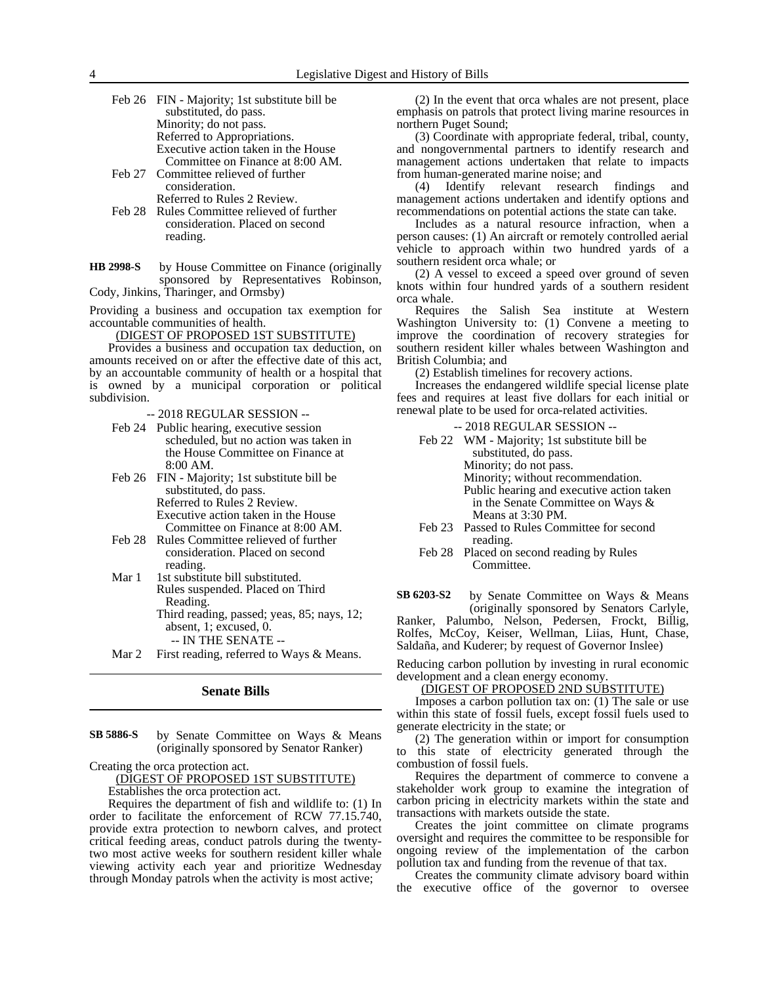Feb 26 FIN - Majority; 1st substitute bill be substituted, do pass. Minority; do not pass. Referred to Appropriations. Executive action taken in the House Committee on Finance at 8:00 AM. Feb 27 Committee relieved of further consideration.

Referred to Rules 2 Review.

- Feb 28 Rules Committee relieved of further consideration. Placed on second reading.
- by House Committee on Finance (originally sponsored by Representatives Robinson, Cody, Jinkins, Tharinger, and Ormsby) **HB 2998-S**

Providing a business and occupation tax exemption for accountable communities of health.

(DIGEST OF PROPOSED 1ST SUBSTITUTE)

Provides a business and occupation tax deduction, on amounts received on or after the effective date of this act, by an accountable community of health or a hospital that is owned by a municipal corporation or political subdivision.

-- 2018 REGULAR SESSION --

- Feb 24 Public hearing, executive session scheduled, but no action was taken in the House Committee on Finance at 8:00 AM.
- Feb 26 FIN Majority; 1st substitute bill be substituted, do pass. Referred to Rules 2 Review. Executive action taken in the House Committee on Finance at 8:00 AM.
- Feb 28 Rules Committee relieved of further consideration. Placed on second reading.
- Mar 1 1st substitute bill substituted. Rules suspended. Placed on Third Reading. Third reading, passed; yeas, 85; nays, 12;
	- absent, 1; excused, 0. -- IN THE SENATE --
- Mar 2 First reading, referred to Ways & Means.

#### **Senate Bills**

by Senate Committee on Ways & Means (originally sponsored by Senator Ranker) **SB 5886-S**

Creating the orca protection act.

(DIGEST OF PROPOSED 1ST SUBSTITUTE)

Establishes the orca protection act.

Requires the department of fish and wildlife to: (1) In order to facilitate the enforcement of RCW 77.15.740, provide extra protection to newborn calves, and protect critical feeding areas, conduct patrols during the twentytwo most active weeks for southern resident killer whale viewing activity each year and prioritize Wednesday through Monday patrols when the activity is most active;

(2) In the event that orca whales are not present, place emphasis on patrols that protect living marine resources in northern Puget Sound;

(3) Coordinate with appropriate federal, tribal, county, and nongovernmental partners to identify research and management actions undertaken that relate to impacts from human-generated marine noise; and

(4) Identify relevant research findings and management actions undertaken and identify options and recommendations on potential actions the state can take.

Includes as a natural resource infraction, when a person causes: (1) An aircraft or remotely controlled aerial vehicle to approach within two hundred yards of a southern resident orca whale; or

(2) A vessel to exceed a speed over ground of seven knots within four hundred yards of a southern resident orca whale.

Requires the Salish Sea institute at Western Washington University to: (1) Convene a meeting to improve the coordination of recovery strategies for southern resident killer whales between Washington and British Columbia; and

(2) Establish timelines for recovery actions.

Increases the endangered wildlife special license plate fees and requires at least five dollars for each initial or renewal plate to be used for orca-related activities.

- -- 2018 REGULAR SESSION --
- Feb 22 WM Majority; 1st substitute bill be substituted, do pass. Minority; do not pass. Minority; without recommendation. Public hearing and executive action taken in the Senate Committee on Ways & Means at 3:30 PM. Feb 23 Passed to Rules Committee for second reading.
- Feb 28 Placed on second reading by Rules Committee.

by Senate Committee on Ways & Means (originally sponsored by Senators Carlyle, Ranker, Palumbo, Nelson, Pedersen, Frockt, Billig, Rolfes, McCoy, Keiser, Wellman, Liias, Hunt, Chase, Saldaña, and Kuderer; by request of Governor Inslee) **SB 6203-S2**

Reducing carbon pollution by investing in rural economic development and a clean energy economy.

(DIGEST OF PROPOSED 2ND SUBSTITUTE)

Imposes a carbon pollution tax on: (1) The sale or use within this state of fossil fuels, except fossil fuels used to generate electricity in the state; or

(2) The generation within or import for consumption to this state of electricity generated through the combustion of fossil fuels.

Requires the department of commerce to convene a stakeholder work group to examine the integration of carbon pricing in electricity markets within the state and transactions with markets outside the state.

Creates the joint committee on climate programs oversight and requires the committee to be responsible for ongoing review of the implementation of the carbon pollution tax and funding from the revenue of that tax.

Creates the community climate advisory board within the executive office of the governor to oversee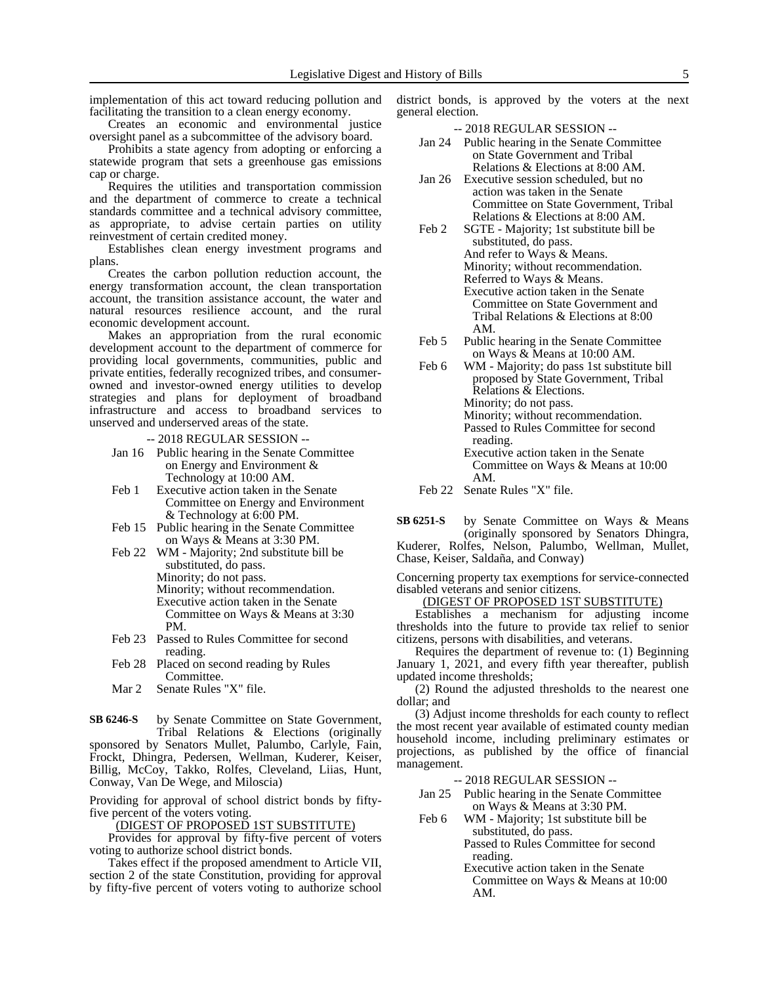implementation of this act toward reducing pollution and facilitating the transition to a clean energy economy.

Creates an economic and environmental justice oversight panel as a subcommittee of the advisory board.

Prohibits a state agency from adopting or enforcing a statewide program that sets a greenhouse gas emissions cap or charge.

Requires the utilities and transportation commission and the department of commerce to create a technical standards committee and a technical advisory committee, as appropriate, to advise certain parties on utility reinvestment of certain credited money.

Establishes clean energy investment programs and plans.

Creates the carbon pollution reduction account, the energy transformation account, the clean transportation account, the transition assistance account, the water and natural resources resilience account, and the rural economic development account.

Makes an appropriation from the rural economic development account to the department of commerce for providing local governments, communities, public and private entities, federally recognized tribes, and consumerowned and investor-owned energy utilities to develop strategies and plans for deployment of broadband infrastructure and access to broadband services to unserved and underserved areas of the state.

-- 2018 REGULAR SESSION --

- Jan 16 Public hearing in the Senate Committee on Energy and Environment & Technology at 10:00 AM.
- Feb 1 Executive action taken in the Senate Committee on Energy and Environment & Technology at 6:00 PM.
- Feb 15 Public hearing in the Senate Committee on Ways & Means at 3:30 PM.
- Feb 22 WM Majority; 2nd substitute bill be substituted, do pass. Minority; do not pass. Minority; without recommendation. Executive action taken in the Senate Committee on Ways & Means at 3:30 PM.
- Feb 23 Passed to Rules Committee for second reading.
- Feb 28 Placed on second reading by Rules **Committee.**
- Mar 2 Senate Rules "X" file.

by Senate Committee on State Government, Tribal Relations & Elections (originally **SB 6246-S**

sponsored by Senators Mullet, Palumbo, Carlyle, Fain, Frockt, Dhingra, Pedersen, Wellman, Kuderer, Keiser, Billig, McCoy, Takko, Rolfes, Cleveland, Liias, Hunt, Conway, Van De Wege, and Miloscia)

Providing for approval of school district bonds by fiftyfive percent of the voters voting.

<u>(DIGEST OF PROPOSEĎ 1ST SUBSTIT</u>UTE)

Provides for approval by fifty-five percent of voters voting to authorize school district bonds.

Takes effect if the proposed amendment to Article VII, section 2 of the state Constitution, providing for approval by fifty-five percent of voters voting to authorize school district bonds, is approved by the voters at the next general election.

-- 2018 REGULAR SESSION --

- Jan 24 Public hearing in the Senate Committee on State Government and Tribal Relations & Elections at 8:00 AM.
- Jan 26 Executive session scheduled, but no action was taken in the Senate Committee on State Government, Tribal Relations & Elections at 8:00 AM.
- Feb 2 SGTE Majority; 1st substitute bill be substituted, do pass. And refer to Ways & Means. Minority; without recommendation. Referred to Ways & Means. Executive action taken in the Senate Committee on State Government and Tribal Relations & Elections at 8:00 AM.
- Feb 5 Public hearing in the Senate Committee on Ways & Means at 10:00 AM.
- Feb 6 WM Majority; do pass 1st substitute bill proposed by State Government, Tribal Relations & Elections. Minority; do not pass. Minority; without recommendation. Passed to Rules Committee for second
	- reading. Executive action taken in the Senate Committee on Ways & Means at 10:00 AM.
- Feb 22 Senate Rules "X" file.

by Senate Committee on Ways & Means (originally sponsored by Senators Dhingra, Kuderer, Rolfes, Nelson, Palumbo, Wellman, Mullet, **SB 6251-S**

Chase, Keiser, Saldaña, and Conway) Concerning property tax exemptions for service-connected

disabled veterans and senior citizens.

(DIGEST OF PROPOSED 1ST SUBSTITUTE)

Establishes a mechanism for adjusting income thresholds into the future to provide tax relief to senior citizens, persons with disabilities, and veterans.

Requires the department of revenue to: (1) Beginning January 1, 2021, and every fifth year thereafter, publish updated income thresholds;

(2) Round the adjusted thresholds to the nearest one dollar; and

(3) Adjust income thresholds for each county to reflect the most recent year available of estimated county median household income, including preliminary estimates or projections, as published by the office of financial management.

-- 2018 REGULAR SESSION --

- Jan 25 Public hearing in the Senate Committee on Ways & Means at 3:30 PM.
- Feb 6 WM Majority; 1st substitute bill be substituted, do pass.

Passed to Rules Committee for second reading.

Executive action taken in the Senate Committee on Ways & Means at 10:00 AM.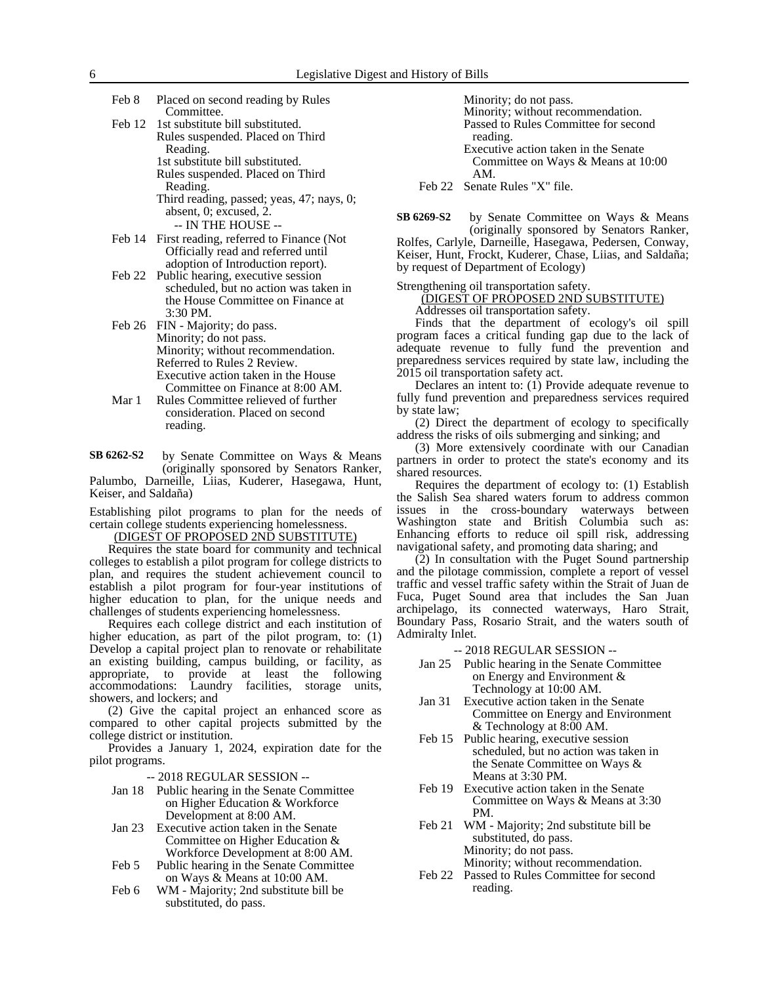- Feb 8 Placed on second reading by Rules Committee.
- Feb 12 1st substitute bill substituted. Rules suspended. Placed on Third Reading. 1st substitute bill substituted. Rules suspended. Placed on Third

Reading. Third reading, passed; yeas, 47; nays, 0; absent, 0; excused, 2. -- IN THE HOUSE --

Feb 14 First reading, referred to Finance (Not Officially read and referred until adoption of Introduction report).

Feb 22 Public hearing, executive session scheduled, but no action was taken in the House Committee on Finance at 3:30 PM.

- Feb 26 FIN Majority; do pass. Minority; do not pass. Minority; without recommendation. Referred to Rules 2 Review. Executive action taken in the House Committee on Finance at 8:00 AM.
- Mar 1 Rules Committee relieved of further consideration. Placed on second reading.

by Senate Committee on Ways & Means (originally sponsored by Senators Ranker, Palumbo, Darneille, Liias, Kuderer, Hasegawa, Hunt, Keiser, and Saldaña) **SB 6262-S2**

Establishing pilot programs to plan for the needs of certain college students experiencing homelessness.

### (DIGEST OF PROPOSED 2ND SUBSTITUTE)

Requires the state board for community and technical colleges to establish a pilot program for college districts to plan, and requires the student achievement council to establish a pilot program for four-year institutions of higher education to plan, for the unique needs and challenges of students experiencing homelessness.

Requires each college district and each institution of higher education, as part of the pilot program, to: (1) Develop a capital project plan to renovate or rehabilitate an existing building, campus building, or facility, as appropriate, to provide at least the following accommodations: Laundry facilities, storage units, showers, and lockers; and

(2) Give the capital project an enhanced score as compared to other capital projects submitted by the college district or institution.

Provides a January 1, 2024, expiration date for the pilot programs.

-- 2018 REGULAR SESSION --

- Jan 18 Public hearing in the Senate Committee on Higher Education & Workforce Development at 8:00 AM.
- Jan 23 Executive action taken in the Senate Committee on Higher Education & Workforce Development at 8:00 AM.
- Feb 5 Public hearing in the Senate Committee on Ways & Means at 10:00 AM.
- Feb 6 WM Majority; 2nd substitute bill be substituted, do pass.

Minority; do not pass. Minority; without recommendation.

Passed to Rules Committee for second reading.

Executive action taken in the Senate Committee on Ways & Means at 10:00 AM.

Feb 22 Senate Rules "X" file.

by Senate Committee on Ways & Means (originally sponsored by Senators Ranker, **SB 6269-S2**

Rolfes, Carlyle, Darneille, Hasegawa, Pedersen, Conway, Keiser, Hunt, Frockt, Kuderer, Chase, Liias, and Saldaña; by request of Department of Ecology)

Strengthening oil transportation safety.

(DIGEST OF PROPOSED 2ND SUBSTITUTE) Addresses oil transportation safety.

Finds that the department of ecology's oil spill program faces a critical funding gap due to the lack of adequate revenue to fully fund the prevention and preparedness services required by state law, including the 2015 oil transportation safety act.

Declares an intent to: (1) Provide adequate revenue to fully fund prevention and preparedness services required by state law;

(2) Direct the department of ecology to specifically address the risks of oils submerging and sinking; and

(3) More extensively coordinate with our Canadian partners in order to protect the state's economy and its shared resources.

Requires the department of ecology to: (1) Establish the Salish Sea shared waters forum to address common issues in the cross-boundary waterways between Washington state and British Columbia such as: Enhancing efforts to reduce oil spill risk, addressing navigational safety, and promoting data sharing; and

(2) In consultation with the Puget Sound partnership and the pilotage commission, complete a report of vessel traffic and vessel traffic safety within the Strait of Juan de Fuca, Puget Sound area that includes the San Juan archipelago, its connected waterways, Haro Strait, Boundary Pass, Rosario Strait, and the waters south of Admiralty Inlet.

## -- 2018 REGULAR SESSION --

- Jan 25 Public hearing in the Senate Committee on Energy and Environment & Technology at 10:00 AM.
- Jan 31 Executive action taken in the Senate Committee on Energy and Environment & Technology at 8:00 AM.
- Feb 15 Public hearing, executive session scheduled, but no action was taken in the Senate Committee on Ways & Means at 3:30 PM.
- Feb 19 Executive action taken in the Senate Committee on Ways & Means at 3:30 PM.
- Feb 21 WM Majority; 2nd substitute bill be substituted, do pass. Minority; do not pass. Minority; without recommendation.
- Feb 22 Passed to Rules Committee for second reading.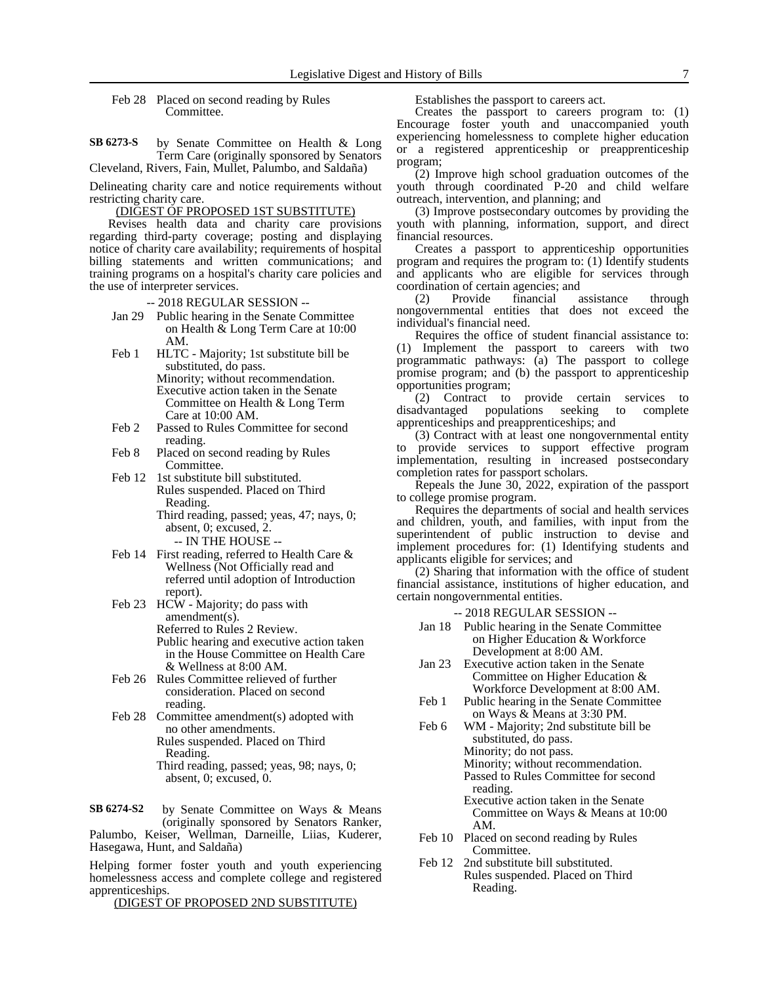Feb 28 Placed on second reading by Rules Committee.

by Senate Committee on Health & Long Term Care (originally sponsored by Senators Cleveland, Rivers, Fain, Mullet, Palumbo, and Saldaña) **SB 6273-S**

Delineating charity care and notice requirements without restricting charity care.

(DIGEST OF PROPOSED 1ST SUBSTITUTE)

Revises health data and charity care provisions regarding third-party coverage; posting and displaying notice of charity care availability; requirements of hospital billing statements and written communications; and training programs on a hospital's charity care policies and the use of interpreter services.

-- 2018 REGULAR SESSION --

- Jan 29 Public hearing in the Senate Committee on Health & Long Term Care at 10:00 AM.
- Feb 1 HLTC Majority; 1st substitute bill be substituted, do pass. Minority; without recommendation. Executive action taken in the Senate Committee on Health & Long Term Care at 10:00 AM.
- Feb 2 Passed to Rules Committee for second reading.
- Feb 8 Placed on second reading by Rules Committee.
- Feb 12 1st substitute bill substituted. Rules suspended. Placed on Third Reading.

Third reading, passed; yeas, 47; nays, 0; absent, 0; excused, 2. -- IN THE HOUSE --

- Feb 14 First reading, referred to Health Care & Wellness (Not Officially read and referred until adoption of Introduction report).
- Feb 23 HCW Majority; do pass with amendment(s). Referred to Rules 2 Review. Public hearing and executive action taken in the House Committee on Health Care & Wellness at 8:00 AM.
- Feb 26 Rules Committee relieved of further consideration. Placed on second reading.
- Feb 28 Committee amendment(s) adopted with no other amendments. Rules suspended. Placed on Third Reading. Third reading, passed; yeas, 98; nays, 0;
	- absent, 0; excused, 0.

by Senate Committee on Ways & Means (originally sponsored by Senators Ranker, Palumbo, Keiser, Wellman, Darneille, Liias, Kuderer, Hasegawa, Hunt, and Saldaña) **SB 6274-S2**

Helping former foster youth and youth experiencing homelessness access and complete college and registered apprenticeships.

(DIGEST OF PROPOSED 2ND SUBSTITUTE)

Establishes the passport to careers act.

Creates the passport to careers program to: (1) Encourage foster youth and unaccompanied youth experiencing homelessness to complete higher education or a registered apprenticeship or preapprenticeship program;

(2) Improve high school graduation outcomes of the youth through coordinated P-20 and child welfare outreach, intervention, and planning; and

(3) Improve postsecondary outcomes by providing the youth with planning, information, support, and direct financial resources.

Creates a passport to apprenticeship opportunities program and requires the program to: (1) Identify students and applicants who are eligible for services through coordination of certain agencies; and

(2) Provide financial assistance through nongovernmental entities that does not exceed the individual's financial need.

Requires the office of student financial assistance to: (1) Implement the passport to careers with two programmatic pathways: (a) The passport to college promise program; and (b) the passport to apprenticeship opportunities program;

provide certain services to disadvantaged populations seeking to complete apprenticeships and preapprenticeships; and

(3) Contract with at least one nongovernmental entity to provide services to support effective program implementation, resulting in increased postsecondary completion rates for passport scholars.

Repeals the June 30, 2022, expiration of the passport to college promise program.

Requires the departments of social and health services and children, youth, and families, with input from the superintendent of public instruction to devise and implement procedures for: (1) Identifying students and applicants eligible for services; and

(2) Sharing that information with the office of student financial assistance, institutions of higher education, and certain nongovernmental entities.

-- 2018 REGULAR SESSION --

- Jan 18 Public hearing in the Senate Committee on Higher Education & Workforce Development at 8:00 AM.
- Jan 23 Executive action taken in the Senate Committee on Higher Education & Workforce Development at 8:00 AM.
- Feb 1 Public hearing in the Senate Committee on Ways & Means at 3:30 PM.
- Feb 6 WM Majority; 2nd substitute bill be substituted, do pass. Minority; do not pass. Minority; without recommendation. Passed to Rules Committee for second reading.
	- Executive action taken in the Senate Committee on Ways & Means at 10:00 AM.
- Feb 10 Placed on second reading by Rules Committee.
- Feb 12 2nd substitute bill substituted. Rules suspended. Placed on Third Reading.